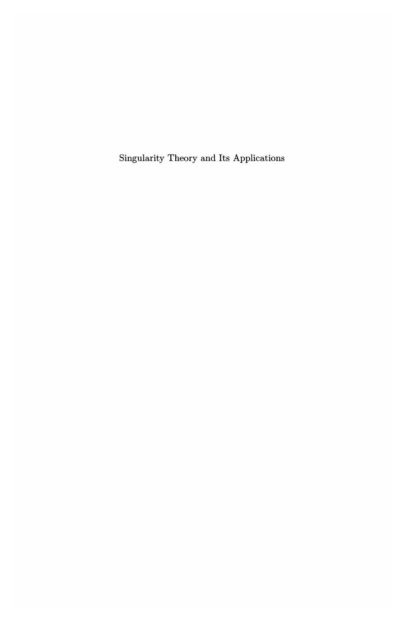Singularity Theory and Its Applications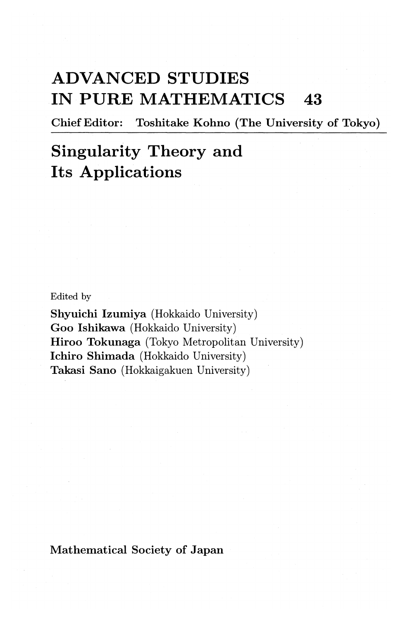## **ADVANCED STUDIES IN PURE MATHEMATICS 43**

Chief Editor: Toshitake Kohno (The University of Tokyo)

## **Singularity Theory and Its Applications**

Edited by

Shyuichi lzumiya (Hokkaido University) Goo Ishikawa (Hokkaido University) Hiroo Tokunaga (Tokyo Metropolitan University) lchiro Shimada (Hokkaido University) Takasi Sano (Hokkaigakuen University)

Mathematical Society of Japan